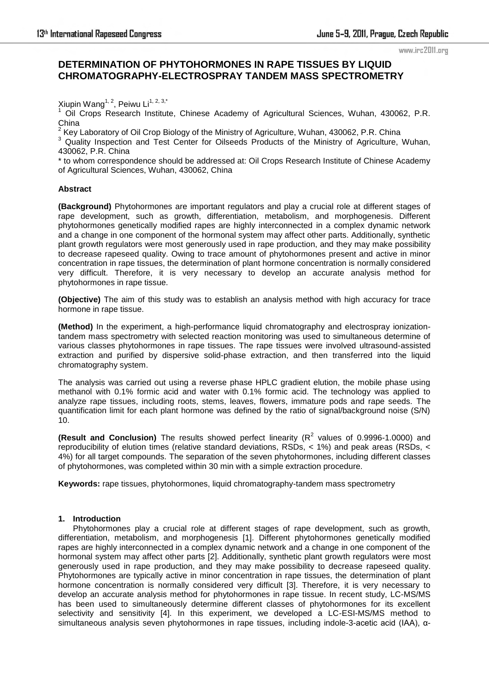# **DETERMINATION OF PHYTOHORMONES IN RAPE TISSUES BY LIQUID CHROMATOGRAPHY-ELECTROSPRAY TANDEM MASS SPECTROMETRY**

Xiupin Wang<sup>1, 2</sup>, Peiwu Li<sup>1, 2, 3,\*</sup><br><sup>1</sup> Oil Crope Beesereb Ipetitut

 Oil Crops Research Institute, Chinese Academy of Agricultural Sciences, Wuhan, 430062, P.R. China<br><sup>2</sup> Kayl

Key Laboratory of Oil Crop Biology of the Ministry of Agriculture, Wuhan, 430062, P.R. China

<sup>3</sup> Quality Inspection and Test Center for Oilseeds Products of the Ministry of Agriculture, Wuhan, 430062, P.R. China

\* to whom correspondence should be addressed at: Oil Crops Research Institute of Chinese Academy of Agricultural Sciences, Wuhan, 430062, China

# **Abstract**

**(Background)** Phytohormones are important regulators and play a crucial role at different stages of rape development, such as growth, differentiation, metabolism, and morphogenesis. Different phytohormones genetically modified rapes are highly interconnected in a complex dynamic network and a change in one component of the hormonal system may affect other parts. Additionally, synthetic plant growth regulators were most [generously](http://www.iciba.com/generously/) used in rape production, and they may make possibility to decrease rapeseed [quality.](http://www.iciba.com/quality/) Owing to trace amount of phytohormones present and active in minor concentration in rape tissues, the determination of plant hormone concentration is normally considered very difficult. Therefore, it is very necessary to develop an [accurate](http://www.iciba.com/accurate/) analysis method for phytohormones in rape tissue.

**(Objective)** The aim of this study was to establish an analysis method with high [accuracy](http://www.iciba.com/accurate/) for trace hormone in rape tissue.

**(Method)** In the experiment, a high-performance liquid chromatography and electrospray ionizationtandem mass spectrometry with selected reaction monitoring was used to simultaneous determine of various classes phytohormones in rape tissues. The rape tissues were involved ultrasound-assisted extraction and purified by dispersive solid-phase extraction, and then transferred into the liquid chromatography system.

The analysis was carried out using a reverse phase HPLC gradient elution, the mobile phase using methanol with 0.1% formic acid and water with 0.1% formic acid. The technology was applied to analyze rape tissues, including roots, stems, leaves, flowers, immature pods and rape seeds. The quantification limit for each plant hormone was defined by the ratio of signal/background noise (S/N) 10.

**(Result and Conclusion)** The results showed perfect linearity ( $R^2$  values of 0.9996-1.0000) and reproducibility of elution times (relative standard deviations, RSDs, < 1%) and peak areas (RSDs, < 4%) for all target compounds. The separation of the seven phytohormones, including different classes of phytohormones, was completed within 30 min with a simple extraction procedure.

**Keywords:** rape tissues, phytohormones, liquid chromatography-tandem mass spectrometry

# **1. Introduction**

Phytohormones play a crucial role at different stages of rape development, such as growth, differentiation, metabolism, and morphogenesis [1]. Different phytohormones genetically modified rapes are highly interconnected in a complex dynamic network and a change in one component of the hormonal system may affect other parts [2]. Additionally, synthetic plant growth regulators were most [generously](http://www.iciba.com/generously/) used in rape production, and they may make possibility to decrease rapeseed [quality.](http://www.iciba.com/quality/) Phytohormones are typically active in minor concentration in rape tissues, the determination of plant hormone concentration is normally considered very difficult [3]. Therefore, it is very necessary to develop an [accurate](http://www.iciba.com/accurate/) analysis method for phytohormones in rape tissue. In recent study, LC-MS/MS has been used to simultaneously determine different classes of phytohormones for its excellent selectivity and sensitivity [4]. In this experiment, we developed a LC-ESI-MS/MS method to simultaneous analysis seven phytohormones in rape tissues, including indole-3-acetic acid (IAA), α-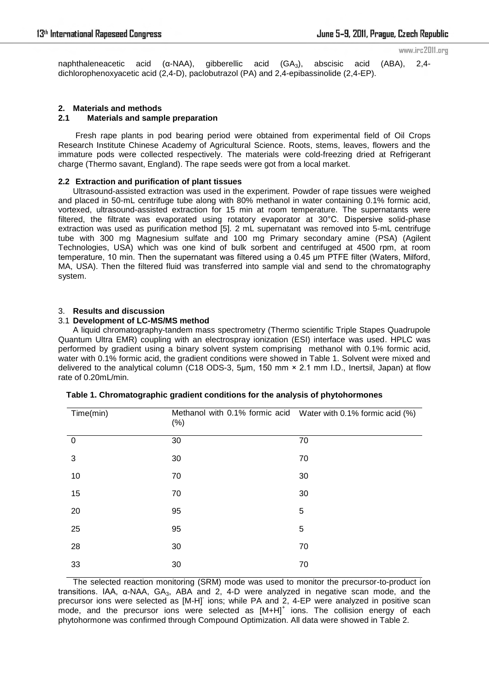naphthaleneacetic acid (α-NAA), gibberellic acid (GA3), abscisic acid (ABA), 2,4 dichlorophenoxyacetic acid (2,4-D), paclobutrazol (PA) and 2,4-epibassinolide (2,4-EP).

# **2. Materials and methods**

# **2.1 Materials and sample preparation**

Fresh rape plants in pod bearing period were obtained from experimental field of Oil Crops Research Institute Chinese Academy of Agricultural Science. Roots, stems, leaves, flowers and the immature pods were collected respectively. The materials were cold-freezing dried at Refrigerant charge (Thermo savant, England). The rape seeds were got from a local market.

# **2.2 Extraction and purification of plant tissues**

Ultrasound-assisted extraction was used in the experiment. Powder of rape tissues were weighed and placed in 50-mL centrifuge tube along with 80% methanol in water containing 0.1% formic acid, vortexed, ultrasound-assisted extraction for 15 min at room temperature. The supernatants were filtered, the filtrate was evaporated using rotatory evaporator at 30°C. Dispersive solid-phase extraction was used as purification method [5]. 2 mL supernatant was removed into 5-mL centrifuge tube with 300 mg Magnesium sulfate and 100 mg Primary secondary amine (PSA) (Agilent Technologies, USA) which was one kind of bulk sorbent and centrifuged at 4500 rpm, at room temperature, 10 min. Then the supernatant was filtered using a 0.45 μm PTFE filter (Waters, Milford, MA, USA). Then the filtered fluid was transferred into sample vial and send to the chromatography system.

# 3. **Results and discussion**

#### 3.1 **Development of LC-MS/MS method**

A liquid chromatography-tandem mass spectrometry (Thermo scientific Triple Stapes Quadrupole Quantum Ultra EMR) coupling with an electrospray ionization (ESI) interface was used. HPLC was performed by gradient using a binary solvent system comprising methanol with 0.1% formic acid, water with 0.1% formic acid, the gradient conditions were showed in Table 1. Solvent were mixed and delivered to the analytical column (C18 ODS-3, 5μm, 150 mm × 2.1 mm I.D., Inertsil, Japan) at flow rate of 0.20mL/min.

| Time(min)      | $(\%)$ | Methanol with 0.1% formic acid Water with 0.1% formic acid (%) |  |  |
|----------------|--------|----------------------------------------------------------------|--|--|
| $\overline{0}$ | 30     | 70                                                             |  |  |
| 3              | 30     | 70                                                             |  |  |
| 10             | 70     | 30                                                             |  |  |
| 15             | 70     | 30                                                             |  |  |
| 20             | 95     | 5                                                              |  |  |
| 25             | 95     | 5                                                              |  |  |
| 28             | 30     | 70                                                             |  |  |
| 33             | 30     | 70                                                             |  |  |

|  | Table 1. Chromatographic gradient conditions for the analysis of phytohormones |
|--|--------------------------------------------------------------------------------|
|--|--------------------------------------------------------------------------------|

The selected reaction monitoring (SRM) mode was used to monitor the precursor-to-product ion transitions. IAA, α-NAA, GA<sub>3</sub>, ABA and 2, 4-D were analyzed in negative scan mode, and the precursor ions were selected as [M-H] ions; while PA and 2, 4-EP were analyzed in positive scan .<br>mode, and the precursor ions were selected as  $[M+H]$ <sup>+</sup> ions. The collision energy of each phytohormone was confirmed through Compound Optimization. All data were showed in Table 2.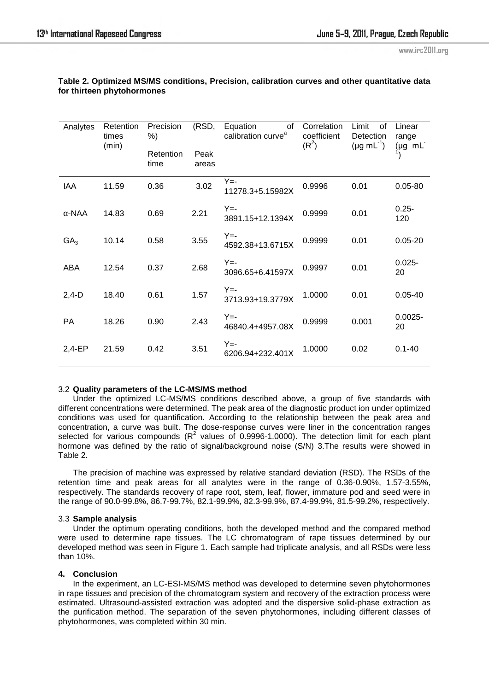| Analytes        | Retention<br>times<br>(min) | Precision<br>$%$ ) | (RSD, | Equation<br>οf<br>calibration curve <sup>a</sup> | Correlation<br>coefficient<br>(R <sup>2</sup> ) | Limit<br>οf<br>Detection<br>$(\mu g \, mL^{-1})$ | Linear<br>range<br>$(\mu g \text{ mL}^{-})$ |
|-----------------|-----------------------------|--------------------|-------|--------------------------------------------------|-------------------------------------------------|--------------------------------------------------|---------------------------------------------|
|                 | Retention<br>time           | Peak<br>areas      |       |                                                  |                                                 |                                                  |                                             |
| IAA             | 11.59                       | 0.36               | 3.02  | $Y = -$<br>11278.3+5.15982X                      | 0.9996                                          | 0.01                                             | $0.05 - 80$                                 |
| α-NAA           | 14.83                       | 0.69               | 2.21  | $Y = -$<br>3891.15+12.1394X                      | 0.9999                                          | 0.01                                             | $0.25 -$<br>120                             |
| GA <sub>3</sub> | 10.14                       | 0.58               | 3.55  | Y=-<br>4592.38+13.6715X                          | 0.9999                                          | 0.01                                             | $0.05 - 20$                                 |
| ABA             | 12.54                       | 0.37               | 2.68  | $Y = -$<br>3096.65+6.41597X                      | 0.9997                                          | 0.01                                             | $0.025 -$<br>20                             |
| $2,4-D$         | 18.40                       | 0.61               | 1.57  | $Y = -$<br>3713.93+19.3779X                      | 1.0000                                          | 0.01                                             | $0.05 - 40$                                 |
| PA              | 18.26                       | 0.90               | 2.43  | Y=-<br>46840.4+4957.08X                          | 0.9999                                          | 0.001                                            | $0.0025 -$<br>20                            |
| 2,4-EP          | 21.59                       | 0.42               | 3.51  | Y=-<br>6206.94+232.401X                          | 1.0000                                          | 0.02                                             | $0.1 - 40$                                  |

#### **Table 2. Optimized MS/MS conditions, Precision, calibration curves and other quantitative data for thirteen phytohormones**

# 3.2 **Quality parameters of the LC-MS/MS method**

 Under the optimized LC-MS/MS conditions described above, a group of five standards with different concentrations were determined. The peak area of the diagnostic product ion under optimized conditions was used for quantification. According to the relationship between the peak area and concentration, a curve was built. The dose-response curves were liner in the concentration ranges selected for various compounds ( $R^2$  values of 0.9996-1.0000). The detection limit for each plant hormone was defined by the ratio of signal/background noise (S/N) 3.The results were showed in Table 2.

The precision of machine was expressed by relative standard deviation (RSD). The RSDs of the retention time and peak areas for all analytes were in the range of 0.36-0.90%, 1.57-3.55%, respectively. The standards recovery of rape root, stem, leaf, flower, immature pod and seed were in the range of 90.0-99.8%, 86.7-99.7%, 82.1-99.9%, 82.3-99.9%, 87.4-99.9%, 81.5-99.2%, respectively.

# 3.3 **Sample analysis**

Under the optimum operating conditions, both the developed method and the compared method were used to determine rape tissues. The LC chromatogram of rape tissues determined by our developed method was seen in Figure 1. Each sample had triplicate analysis, and all RSDs were less than 10%.

# **4. Conclusion**

In the experiment, an LC-ESI-MS/MS method was developed to determine seven phytohormones in rape tissues and precision of the chromatogram system and recovery of the extraction process were estimated. Ultrasound-assisted extraction was adopted and the dispersive solid-phase extraction as the purification method. The separation of the seven phytohormones, including different classes of phytohormones, was completed within 30 min.